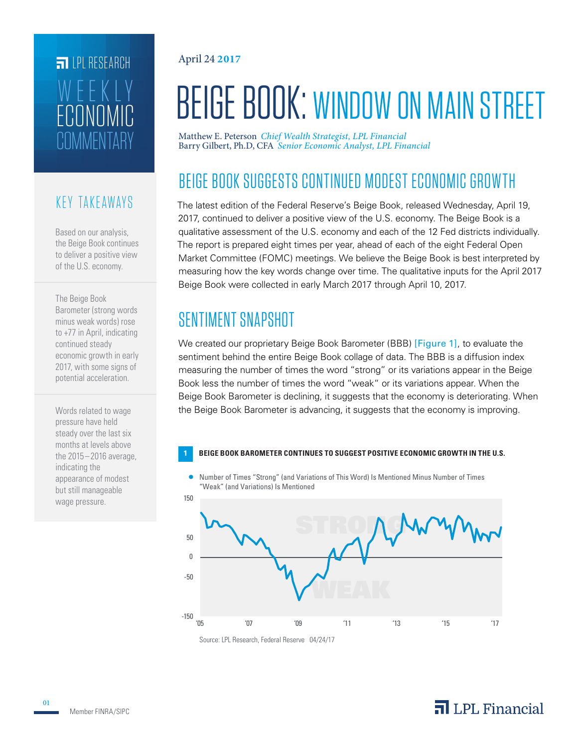# **FILPI RESEARCH** COMMENTARY ECONOMIC WEEKLY

#### KEY TAKEAWAYS

Based on our analysis, the Beige Book continues to deliver a positive view of the U.S. economy.

The Beige Book Barometer (strong words minus weak words) rose to +77 in April, indicating continued steady economic growth in early 2017, with some signs of potential acceleration.

Words related to wage pressure have held steady over the last six months at levels above the 2015–2016 average, indicating the appearance of modest but still manageable wage pressure.

#### April 24 **2017**

# BEIGE BOOK: WINDOW ON MAIN STREET

Matthew E. Peterson *Chief Wealth Strategist, LPL Financial* Barry Gilbert, Ph.D, CFA *Senior Economic Analyst, LPL Financial*

## BEIGE BOOK SUGGESTS CONTINUED MODEST ECONOMIC GROWTH

The latest edition of the Federal Reserve's Beige Book, released Wednesday, April 19, 2017, continued to deliver a positive view of the U.S. economy. The Beige Book is a qualitative assessment of the U.S. economy and each of the 12 Fed districts individually. The report is prepared eight times per year, ahead of each of the eight Federal Open Market Committee (FOMC) meetings. We believe the Beige Book is best interpreted by measuring how the key words change over time. The qualitative inputs for the April 2017 Beige Book were collected in early March 2017 through April 10, 2017.

## SENTIMENT SNAPSHOT

We created our proprietary Beige Book Barometer (BBB) [Figure 1], to evaluate the sentiment behind the entire Beige Book collage of data. The BBB is a diffusion index measuring the number of times the word "strong" or its variations appear in the Beige Book less the number of times the word "weak" or its variations appear. When the Beige Book Barometer is declining, it suggests that the economy is deteriorating. When the Beige Book Barometer is advancing, it suggests that the economy is improving.



Number of Times "Strong" (and Variations of This Word) Is Mentioned Minus Number of Times "Weak" (and Variations) Is Mentioned



Source: LPL Research, Federal Reserve 04/24/17

## $\overline{\mathbf{a}}$  LPL Financial

01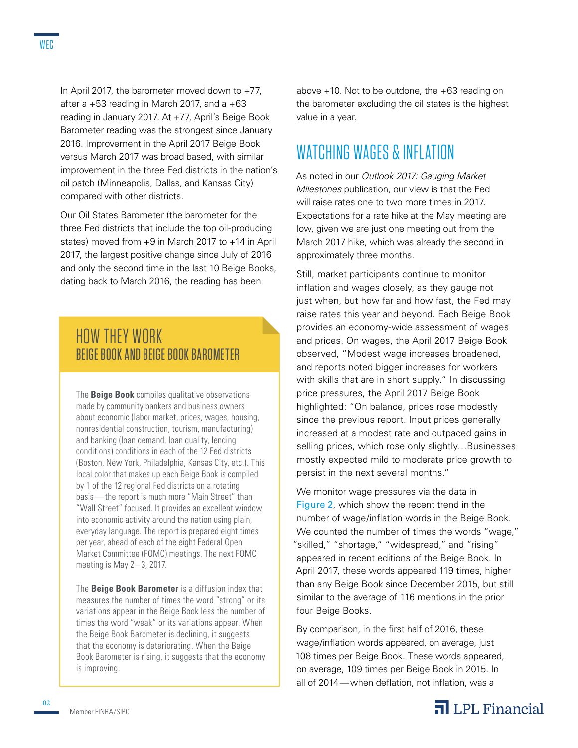In April 2017, the barometer moved down to +77, after a  $+53$  reading in March 2017, and a  $+63$ reading in January 2017. At +77, April's Beige Book Barometer reading was the strongest since January 2016. Improvement in the April 2017 Beige Book versus March 2017 was broad based, with similar improvement in the three Fed districts in the nation's oil patch (Minneapolis, Dallas, and Kansas City) compared with other districts.

Our Oil States Barometer (the barometer for the three Fed districts that include the top oil-producing states) moved from +9 in March 2017 to +14 in April 2017, the largest positive change since July of 2016 and only the second time in the last 10 Beige Books, dating back to March 2016, the reading has been

#### HOW THEY WORK BEIGE BOOK AND BEIGE BOOK BAROMETER

The **Beige Book** compiles qualitative observations made by community bankers and business owners about economic (labor market, prices, wages, housing, nonresidential construction, tourism, manufacturing) and banking (loan demand, loan quality, lending conditions) conditions in each of the 12 Fed districts (Boston, New York, Philadelphia, Kansas City, etc.). This local color that makes up each Beige Book is compiled by 1 of the 12 regional Fed districts on a rotating basis—the report is much more "Main Street" than "Wall Street" focused. It provides an excellent window into economic activity around the nation using plain, everyday language. The report is prepared eight times per year, ahead of each of the eight Federal Open Market Committee (FOMC) meetings. The next FOMC meeting is May  $2-3$ , 2017.

The **Beige Book Barometer** is a diffusion index that measures the number of times the word "strong" or its variations appear in the Beige Book less the number of times the word "weak" or its variations appear. When the Beige Book Barometer is declining, it suggests that the economy is deteriorating. When the Beige Book Barometer is rising, it suggests that the economy is improving.

above  $+10$ . Not to be outdone, the  $+63$  reading on the barometer excluding the oil states is the highest value in a year.

#### WATCHING WAGES & INFLATION

As noted in our *Outlook 2017: Gauging Market Milestones* publication, our view is that the Fed will raise rates one to two more times in 2017. Expectations for a rate hike at the May meeting are low, given we are just one meeting out from the March 2017 hike, which was already the second in approximately three months.

Still, market participants continue to monitor inflation and wages closely, as they gauge not just when, but how far and how fast, the Fed may raise rates this year and beyond. Each Beige Book provides an economy-wide assessment of wages and prices. On wages, the April 2017 Beige Book observed, "Modest wage increases broadened, and reports noted bigger increases for workers with skills that are in short supply." In discussing price pressures, the April 2017 Beige Book highlighted: "On balance, prices rose modestly since the previous report. Input prices generally increased at a modest rate and outpaced gains in selling prices, which rose only slightly…Businesses mostly expected mild to moderate price growth to persist in the next several months."

We monitor wage pressures via the data in Figure 2, which show the recent trend in the number of wage/inflation words in the Beige Book. We counted the number of times the words "wage," "skilled," "shortage," "widespread," and "rising" appeared in recent editions of the Beige Book. In April 2017, these words appeared 119 times, higher than any Beige Book since December 2015, but still similar to the average of 116 mentions in the prior four Beige Books.

By comparison, in the first half of 2016, these wage/inflation words appeared, on average, just 108 times per Beige Book. These words appeared, on average, 109 times per Beige Book in 2015. In all of 2014—when deflation, not inflation, was a